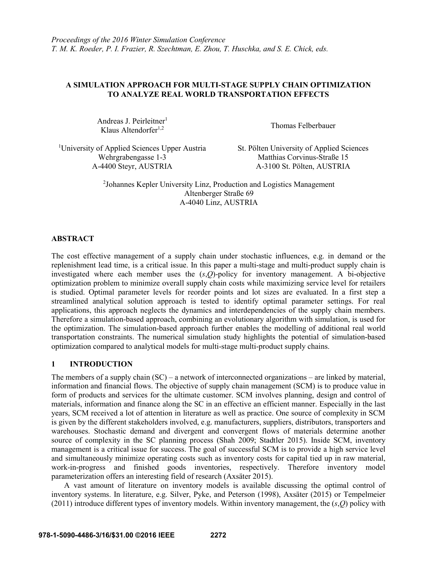# **A SIMULATION APPROACH FOR MULTI-STAGE SUPPLY CHAIN OPTIMIZATION TO ANALYZE REAL WORLD TRANSPORTATION EFFECTS**

Andreas J. Peirleitner<sup>1</sup> Klaus Altendorfer<sup>1,2</sup> Thomas Felberbauer

<sup>1</sup>University of Applied Sciences Upper Austria St. Pölten University of Applied Sciences A-4400 Steyr, AUSTRIA A-3100 St. Pölten, AUSTRIA

Wehrgrabengasse 1-3 Matthias Corvinus-Straße 15

2 Johannes Kepler University Linz, Production and Logistics Management Altenberger Straße 69 A-4040 Linz, AUSTRIA

# **ABSTRACT**

The cost effective management of a supply chain under stochastic influences, e.g. in demand or the replenishment lead time, is a critical issue. In this paper a multi-stage and multi-product supply chain is investigated where each member uses the (*s*,*Q*)-policy for inventory management. A bi-objective optimization problem to minimize overall supply chain costs while maximizing service level for retailers is studied. Optimal parameter levels for reorder points and lot sizes are evaluated. In a first step a streamlined analytical solution approach is tested to identify optimal parameter settings. For real applications, this approach neglects the dynamics and interdependencies of the supply chain members. Therefore a simulation-based approach, combining an evolutionary algorithm with simulation, is used for the optimization. The simulation-based approach further enables the modelling of additional real world transportation constraints. The numerical simulation study highlights the potential of simulation-based optimization compared to analytical models for multi-stage multi-product supply chains.

# **1 INTRODUCTION**

The members of a supply chain (SC) – a network of interconnected organizations – are linked by material, information and financial flows. The objective of supply chain management (SCM) is to produce value in form of products and services for the ultimate customer. SCM involves planning, design and control of materials, information and finance along the SC in an effective an efficient manner. Especially in the last years, SCM received a lot of attention in literature as well as practice. One source of complexity in SCM is given by the different stakeholders involved, e.g. manufacturers, suppliers, distributors, transporters and warehouses. Stochastic demand and divergent and convergent flows of materials determine another source of complexity in the SC planning process (Shah 2009; Stadtler 2015). Inside SCM, inventory management is a critical issue for success. The goal of successful SCM is to provide a high service level and simultaneously minimize operating costs such as inventory costs for capital tied up in raw material, work-in-progress and finished goods inventories, respectively. Therefore inventory model parameterization offers an interesting field of research (Axsäter 2015).

A vast amount of literature on inventory models is available discussing the optimal control of inventory systems. In literature, e.g. Silver, Pyke, and Peterson (1998), Axsäter (2015) or Tempelmeier (2011) introduce different types of inventory models. Within inventory management, the (*s*,*Q*) policy with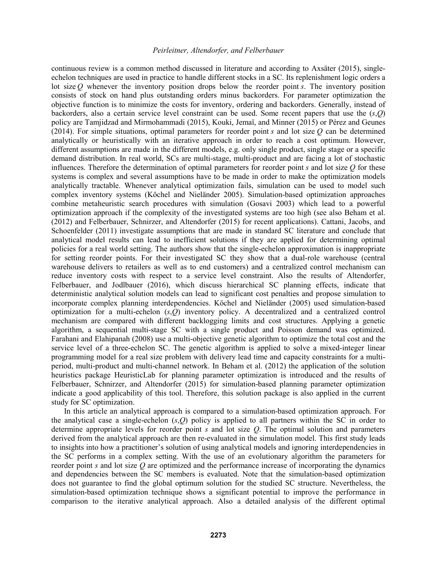continuous review is a common method discussed in literature and according to Axsäter (2015), singleechelon techniques are used in practice to handle different stocks in a SC. Its replenishment logic orders a lot size *Q* whenever the inventory position drops below the reorder point *s*. The inventory position consists of stock on hand plus outstanding orders minus backorders. For parameter optimization the objective function is to minimize the costs for inventory, ordering and backorders. Generally, instead of backorders, also a certain service level constraint can be used. Some recent papers that use the (*s*,*Q*) policy are Tamjidzad and Mirmohammadi (2015), Kouki, Jemaï, and Minner (2015) or Pérez and Geunes (2014). For simple situations, optimal parameters for reorder point *s* and lot size *Q* can be determined analytically or heuristically with an iterative approach in order to reach a cost optimum. However, different assumptions are made in the different models, e.g. only single product, single stage or a specific demand distribution. In real world, SCs are multi-stage, multi-product and are facing a lot of stochastic influences. Therefore the determination of optimal parameters for reorder point *s* and lot size *Q* for these systems is complex and several assumptions have to be made in order to make the optimization models analytically tractable. Whenever analytical optimization fails, simulation can be used to model such complex inventory systems (Köchel and Nieländer 2005). Simulation-based optimization approaches combine metaheuristic search procedures with simulation (Gosavi 2003) which lead to a powerful optimization approach if the complexity of the investigated systems are too high (see also Beham et al. (2012) and Felberbauer, Schnirzer, and Altendorfer (2015) for recent applications). Cattani, Jacobs, and Schoenfelder (2011) investigate assumptions that are made in standard SC literature and conclude that analytical model results can lead to inefficient solutions if they are applied for determining optimal policies for a real world setting. The authors show that the single-echelon approximation is inappropriate for setting reorder points. For their investigated SC they show that a dual-role warehouse (central warehouse delivers to retailers as well as to end customers) and a centralized control mechanism can reduce inventory costs with respect to a service level constraint. Also the results of Altendorfer, Felberbauer, and Jodlbauer (2016), which discuss hierarchical SC planning effects, indicate that deterministic analytical solution models can lead to significant cost penalties and propose simulation to incorporate complex planning interdependencies. Köchel and Nieländer (2005) used simulation-based optimization for a multi-echelon (*s*,*Q*) inventory policy. A decentralized and a centralized control mechanism are compared with different backlogging limits and cost structures. Applying a genetic algorithm, a sequential multi-stage SC with a single product and Poisson demand was optimized. Farahani and Elahipanah (2008) use a multi-objective genetic algorithm to optimize the total cost and the service level of a three-echelon SC. The genetic algorithm is applied to solve a mixed-integer linear programming model for a real size problem with delivery lead time and capacity constraints for a multiperiod, multi-product and multi-channel network. In Beham et al. (2012) the application of the solution heuristics package HeuristicLab for planning parameter optimization is introduced and the results of Felberbauer, Schnirzer, and Altendorfer (2015) for simulation-based planning parameter optimization indicate a good applicability of this tool. Therefore, this solution package is also applied in the current study for SC optimization.

In this article an analytical approach is compared to a simulation-based optimization approach. For the analytical case a single-echelon (*s*,*Q*) policy is applied to all partners within the SC in order to determine appropriate levels for reorder point *s* and lot size *Q*. The optimal solution and parameters derived from the analytical approach are then re-evaluated in the simulation model. This first study leads to insights into how a practitioner's solution of using analytical models and ignoring interdependencies in the SC performs in a complex setting. With the use of an evolutionary algorithm the parameters for reorder point *s* and lot size *Q* are optimized and the performance increase of incorporating the dynamics and dependencies between the SC members is evaluated. Note that the simulation-based optimization does not guarantee to find the global optimum solution for the studied SC structure. Nevertheless, the simulation-based optimization technique shows a significant potential to improve the performance in comparison to the iterative analytical approach. Also a detailed analysis of the different optimal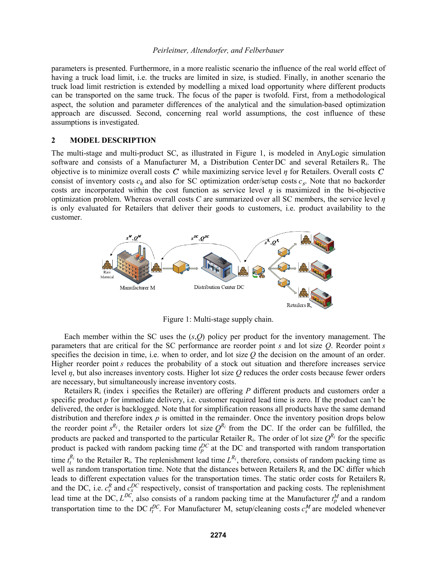parameters is presented. Furthermore, in a more realistic scenario the influence of the real world effect of having a truck load limit, i.e. the trucks are limited in size, is studied. Finally, in another scenario the truck load limit restriction is extended by modelling a mixed load opportunity where different products can be transported on the same truck. The focus of the paper is twofold. First, from a methodological aspect, the solution and parameter differences of the analytical and the simulation-based optimization approach are discussed. Second, concerning real world assumptions, the cost influence of these assumptions is investigated.

## **2 MODEL DESCRIPTION**

The multi-stage and multi-product SC, as illustrated in Figure 1, is modeled in AnyLogic simulation software and consists of a Manufacturer M, a Distribution Center DC and several Retailers Ri. The objective is to minimize overall costs C while maximizing service level  $\eta$  for Retailers. Overall costs C consist of inventory costs  $c_h$  and also for SC optimization order/setup costs  $c_s$ . Note that no backorder costs are incorporated within the cost function as service level  $\eta$  is maximized in the bi-objective optimization problem. Whereas overall costs *C* are summarized over all SC members, the service level *η* is only evaluated for Retailers that deliver their goods to customers, i.e. product availability to the customer.



Figure 1: Multi-stage supply chain.

Each member within the SC uses the (*s*,*Q*) policy per product for the inventory management. The parameters that are critical for the SC performance are reorder point *s* and lot size *Q*. Reorder point *s* specifies the decision in time, i.e. when to order, and lot size *Q* the decision on the amount of an order. Higher reorder point *s* reduces the probability of a stock out situation and therefore increases service level *η*, but also increases inventory costs. Higher lot size *Q* reduces the order costs because fewer orders are necessary, but simultaneously increase inventory costs.

Retailers  $R_i$  (index i specifies the Retailer) are offering *P* different products and customers order a specific product *p* for immediate delivery, i.e. customer required lead time is zero. If the product can't be delivered, the order is backlogged. Note that for simplification reasons all products have the same demand distribution and therefore index *p* is omitted in the remainder. Once the inventory position drops below the reorder point  $s^{R_i}$ , the Retailer orders lot size  $Q^{R_i}$  from the DC. If the order can be fulfilled, the products are packed and transported to the particular Retailer  $R_i$ . The order of lot size  $Q^{R_i}$  for the specific product is packed with random packing time  $t_p^{DC}$  at the DC and transported with random transportation time  $t_i^{R_i}$  to the Retailer R<sub>i</sub>. The replenishment lead time  $L^{R_i}$ , therefore, consists of random packing time as well as random transportation time. Note that the distances between Retailers  $R_i$  and the DC differ which leads to different expectation values for the transportation times. The static order costs for Retailers R<sub>i</sub> and the DC, i.e.  $c_s^R$  and  $c_s^{DC}$  respectively, consist of transportation and packing costs. The replenishment lead time at the DC,  $L^{DC}$ , also consists of a random packing time at the Manufacturer  $t_p^M$  and a random transportation time to the DC  $t_l^{DC}$ . For Manufacturer M, setup/cleaning costs  $c_s^M$  are modeled whenever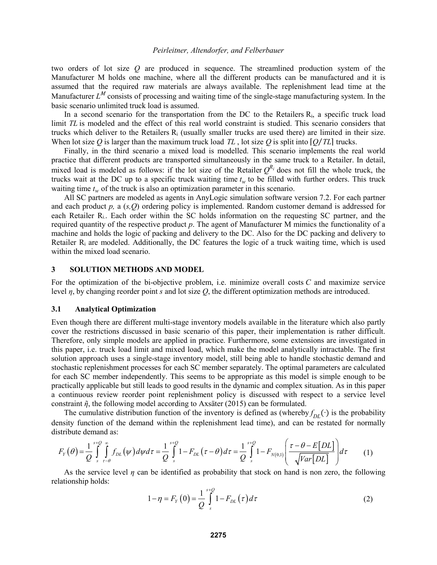two orders of lot size *Q* are produced in sequence. The streamlined production system of the Manufacturer M holds one machine, where all the different products can be manufactured and it is assumed that the required raw materials are always available. The replenishment lead time at the Manufacturer  $L^M$  consists of processing and waiting time of the single-stage manufacturing system. In the basic scenario unlimited truck load is assumed.

In a second scenario for the transportation from the DC to the Retailers Ri, a specific truck load limit *TL* is modeled and the effect of this real world constraint is studied. This scenario considers that trucks which deliver to the Retailers  $R_i$  (usually smaller trucks are used there) are limited in their size. When lot size *Q* is larger than the maximum truck load *TL*, lot size *Q* is split into  $[Q/TL]$  trucks.

Finally, in the third scenario a mixed load is modelled. This scenario implements the real world practice that different products are transported simultaneously in the same truck to a Retailer. In detail, mixed load is modeled as follows: if the lot size of the Retailer  $Q^{R_i}$  does not fill the whole truck, the trucks wait at the DC up to a specific truck waiting time  $t_w$  to be filled with further orders. This truck waiting time  $t_w$  of the truck is also an optimization parameter in this scenario.

All SC partners are modeled as agents in AnyLogic simulation software version 7.2. For each partner and each product *p,* a (*s,Q*) ordering policy is implemented. Random customer demand is addressed for each Retailer R<sub>i</sub>. Each order within the SC holds information on the requesting SC partner, and the required quantity of the respective product *p*. The agent of Manufacturer M mimics the functionality of a machine and holds the logic of packing and delivery to the DC. Also for the DC packing and delivery to Retailer Ri are modeled. Additionally, the DC features the logic of a truck waiting time, which is used within the mixed load scenario.

#### **3 SOLUTION METHODS AND MODEL**

For the optimization of the bi-objective problem, i.e. minimize overall costs *C* and maximize service level *η*, by changing reorder point *s* and lot size *Q*, the different optimization methods are introduced.

#### **3.1 Analytical Optimization**

Even though there are different multi-stage inventory models available in the literature which also partly cover the restrictions discussed in basic scenario of this paper, their implementation is rather difficult. Therefore, only simple models are applied in practice. Furthermore, some extensions are investigated in this paper, i.e. truck load limit and mixed load, which make the model analytically intractable. The first solution approach uses a single-stage inventory model, still being able to handle stochastic demand and stochastic replenishment processes for each SC member separately. The optimal parameters are calculated for each SC member independently. This seems to be appropriate as this model is simple enough to be practically applicable but still leads to good results in the dynamic and complex situation. As in this paper a continuous review reorder point replenishment policy is discussed with respect to a service level constraint  $\tilde{\eta}$ , the following model according to Axsäter (2015) can be formulated.

The cumulative distribution function of the inventory is defined as (whereby  $f_{DL}(\cdot)$  is the probability density function of the demand within the replenishment lead time), and can be restated for normally distribute demand as:

$$
F_Y(\theta) = \frac{1}{Q} \int_{s}^{s+Q} \int_{\tau-\theta}^{\infty} f_{DL}(\psi) d\psi d\tau = \frac{1}{Q} \int_{s}^{s+Q} 1 - F_{DL}(\tau-\theta) d\tau = \frac{1}{Q} \int_{s}^{s+Q} 1 - F_{N(0,1)} \left( \frac{\tau-\theta-E[DL]}{\sqrt{Var[DL]}} \right) d\tau \tag{1}
$$

As the service level *η* can be identified as probability that stock on hand is non zero, the following relationship holds:

$$
1 - \eta = F_Y(0) = \frac{1}{Q} \int_{s}^{s+Q} 1 - F_{DL}(\tau) d\tau
$$
 (2)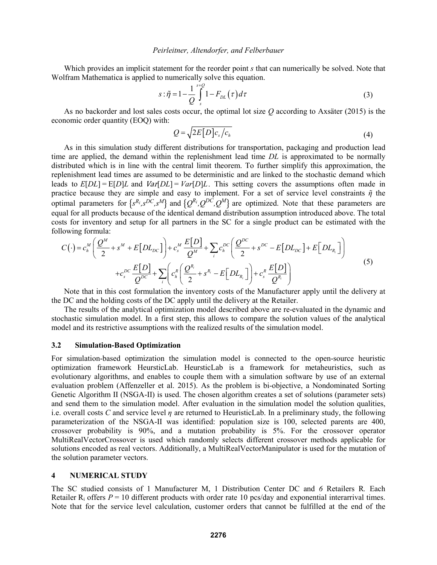Which provides an implicit statement for the reorder point *s* that can numerically be solved. Note that Wolfram Mathematica is applied to numerically solve this equation.

$$
s: \tilde{\eta} = 1 - \frac{1}{Q} \int_{s}^{s+Q} 1 - F_{DL}(\tau) d\tau
$$
 (3)

As no backorder and lost sales costs occur, the optimal lot size *Q* according to Axsäter (2015) is the economic order quantity (EOQ) with:

$$
Q = \sqrt{2E[D]c_s/c_h} \tag{4}
$$

As in this simulation study different distributions for transportation, packaging and production lead time are applied, the demand within the replenishment lead time *DL* is approximated to be normally distributed which is in line with the central limit theorem. To further simplify this approximation, the replenishment lead times are assumed to be deterministic and are linked to the stochastic demand which leads to  $E[DL] = E[D]L$  and  $Var[DL] = Var[D]L$ . This setting covers the assumptions often made in practice because they are simple and easy to implement. For a set of service level constraints  $\tilde{\eta}$  the optimal parameters for  $\{s^{R_i}, s^{DC}, s^M\}$  and  $\{Q^{R_i}, Q^{DC}, Q^M\}$  are optimized. Note that these parameters are equal for all products because of the identical demand distribution assumption introduced above. The total costs for inventory and setup for all partners in the SC for a single product can be estimated with the following formula:

$$
C(\cdot) = c_h^M \left( \frac{Q^M}{2} + s^M + E[DL_{DC}] \right) + c_s^M \frac{E[D]}{Q^M} + \sum_i c_h^{DC} \left( \frac{Q^{DC}}{2} + s^{DC} - E[DL_{DC}] + E[DL_{R_i}] \right)
$$
  
+ 
$$
c_s^{DC} \frac{E[D]}{Q^{DC}} + \sum_i \left( c_h^R \left( \frac{Q^{R_i}}{2} + s^{R_i} - E[DL_{R_i}] \right) + c_s^R \frac{E[D]}{Q^{R_i}} \right)
$$
(5)

Note that in this cost formulation the inventory costs of the Manufacturer apply until the delivery at the DC and the holding costs of the DC apply until the delivery at the Retailer.

The results of the analytical optimization model described above are re-evaluated in the dynamic and stochastic simulation model. In a first step, this allows to compare the solution values of the analytical model and its restrictive assumptions with the realized results of the simulation model.

## **3.2 Simulation-Based Optimization**

For simulation-based optimization the simulation model is connected to the open-source heuristic optimization framework HeursticLab. HeursticLab is a framework for metaheuristics, such as evolutionary algorithms, and enables to couple them with a simulation software by use of an external evaluation problem (Affenzeller et al. 2015). As the problem is bi-objective, a Nondominated Sorting Genetic Algorithm II (NSGA-II) is used. The chosen algorithm creates a set of solutions (parameter sets) and send them to the simulation model. After evaluation in the simulation model the solution qualities, i.e. overall costs *C* and service level *η* are returned to HeuristicLab. In a preliminary study, the following parameterization of the NSGA-II was identified: population size is 100, selected parents are 400, crossover probability is 90%, and a mutation probability is 5%. For the crossover operator MultiRealVectorCrossover is used which randomly selects different crossover methods applicable for solutions encoded as real vectors. Additionally, a MultiRealVectorManipulator is used for the mutation of the solution parameter vectors.

## **4 NUMERICAL STUDY**

The SC studied consists of 1 Manufacturer M, 1 Distribution Center DC and *6* Retailers R*.* Each Retailer  $R_i$  offers  $P = 10$  different products with order rate 10 pcs/day and exponential interarrival times. Note that for the service level calculation, customer orders that cannot be fulfilled at the end of the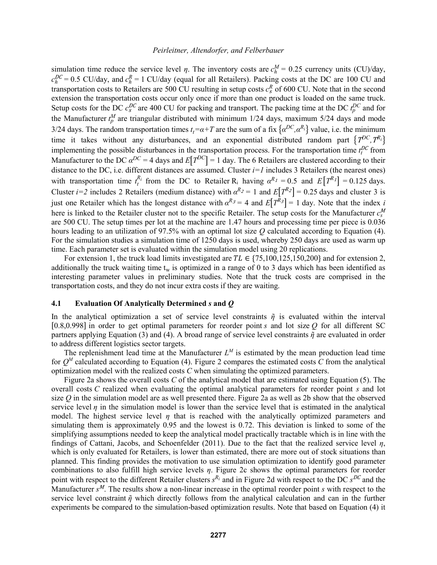simulation time reduce the service level *η*. The inventory costs are  $c_h^M = 0.25$  currency units (CU)/day,  $c_h^{DC} = 0.5$  CU/day, and  $c_h^R = 1$  CU/day (equal for all Retailers). Packing costs at the DC are 100 CU and transportation costs to Retailers are 500 CU resulting in setup costs  $c_s^R$  of 600 CU. Note that in the second extension the transportation costs occur only once if more than one product is loaded on the same truck. Setup costs for the DC  $c_s^{DC}$  are 400 CU for packing and transport. The packing time at the DC  $t_p^{DC}$  and for the Manufacturer  $t_p^M$  are triangular distributed with minimum 1/24 days, maximum 5/24 days and mode 3/24 days. The random transportation times  $t_t = \alpha + T$  are the sum of a fix  $\{\alpha^{DC}, \alpha^{R_i}\}$  value, i.e. the minimum time it takes without any disturbances, and an exponential distributed random part  $\{T^{DC}, T^{R_i}\}$ implementing the possible disturbances in the transportation process. For the transportation time  $t_l^{DC}$  from Manufacturer to the DC  $\alpha^{DC} = 4$  days and  $E[T^{DC}] = 1$  day. The 6 Retailers are clustered according to their distance to the DC, i.e. different distances are assumed. Cluster  $i=1$  includes 3 Retailers (the nearest ones) with transportation time  $t_t^{R_i}$  from the DC to Retailer R<sub>i</sub> having  $\alpha^{R_1} = 0.5$  and  $E[T^{R_1}] = 0.125$  days. Cluster *i*=2 includes 2 Retailers (medium distance) with  $\alpha^{R_2} = 1$  and  $E[T^{R_2}] = 0.25$  days and cluster 3 is just one Retailer which has the longest distance with  $\alpha^{R_3} = 4$  and  $E[T^{\tilde{R}_3}] = 1$  day. Note that the index *i* here is linked to the Retailer cluster not to the specific Retailer. The setup costs for the Manufacturer  $c_s^M$ are 500 CU. The setup times per lot at the machine are 1.47 hours and processing time per piece is 0.036 hours leading to an utilization of 97.5% with an optimal lot size *Q* calculated according to Equation (4). For the simulation studies a simulation time of 1250 days is used, whereby 250 days are used as warm up time. Each parameter set is evaluated within the simulation model using 20 replications.

For extension 1, the truck load limits investigated are  $TL \in \{75,100,125,150,200\}$  and for extension 2, additionally the truck waiting time  $t_w$  is optimized in a range of 0 to 3 days which has been identified as interesting parameter values in preliminary studies. Note that the truck costs are comprised in the transportation costs, and they do not incur extra costs if they are waiting.

#### **4.1 Evaluation Of Analytically Determined** *s* **and** *Q*

In the analytical optimization a set of service level constraints  $\tilde{\eta}$  is evaluated within the interval [0.8,0.998] in order to get optimal parameters for reorder point  $s$  and lot size  $Q$  for all different SC partners applying Equation (3) and (4). A broad range of service level constraints *ῆ* are evaluated in order to address different logistics sector targets.

The replenishment lead time at the Manufacturer  $L^M$  is estimated by the mean production lead time for  $O^M$  calculated according to Equation (4). Figure 2 compares the estimated costs C from the analytical optimization model with the realized costs *C* when simulating the optimized parameters.

Figure 2a shows the overall costs *C* of the analytical model that are estimated using Equation (5). The overall costs *C* realized when evaluating the optimal analytical parameters for reorder point *s* and lot size *Q* in the simulation model are as well presented there. Figure 2a as well as 2b show that the observed service level  $\eta$  in the simulation model is lower than the service level that is estimated in the analytical model. The highest service level *η* that is reached with the analytically optimized parameters and simulating them is approximately 0.95 and the lowest is 0.72. This deviation is linked to some of the simplifying assumptions needed to keep the analytical model practically tractable which is in line with the findings of Cattani, Jacobs, and Schoenfelder (2011). Due to the fact that the realized service level *η*, which is only evaluated for Retailers, is lower than estimated, there are more out of stock situations than planned. This finding provides the motivation to use simulation optimization to identify good parameter combinations to also fulfill high service levels *η*. Figure 2c shows the optimal parameters for reorder point with respect to the different Retailer clusters  $s^{R_i}$  and in Figure 2d with respect to the DC  $s^{DC}$  and the Manufacturer  $s^M$ . The results show a non-linear increase in the optimal reorder point  $s$  with respect to the service level constraint *ῆ* which directly follows from the analytical calculation and can in the further experiments be compared to the simulation-based optimization results. Note that based on Equation (4) it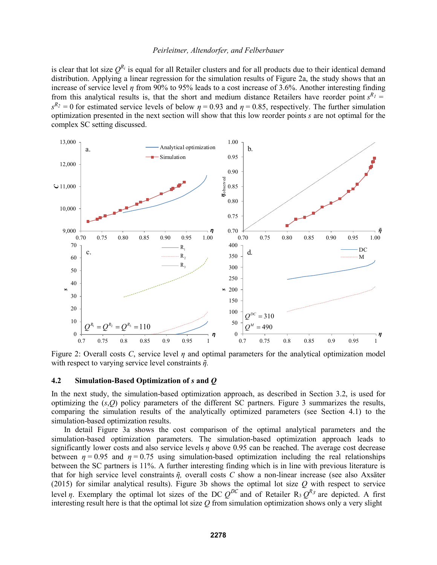is clear that lot size  $Q^{R_i}$  is equal for all Retailer clusters and for all products due to their identical demand distribution. Applying a linear regression for the simulation results of Figure 2a, the study shows that an increase of service level *η* from 90% to 95% leads to a cost increase of 3.6%. Another interesting finding from this analytical results is, that the short and medium distance Retailers have reorder point  $s^{R_1}$  =  $s^{R_2} = 0$  for estimated service levels of below  $\eta = 0.93$  and  $\eta = 0.85$ , respectively. The further simulation optimization presented in the next section will show that this low reorder points *s* are not optimal for the complex SC setting discussed.



Figure 2: Overall costs *C*, service level *η* and optimal parameters for the analytical optimization model with respect to varying service level constraints *ῆ.*

## **4.2 Simulation-Based Optimization of** *s* **and** *Q*

In the next study, the simulation-based optimization approach, as described in Section 3.2, is used for optimizing the (*s*,*Q*) policy parameters of the different SC partners. Figure 3 summarizes the results, comparing the simulation results of the analytically optimized parameters (see Section 4.1) to the simulation-based optimization results.

In detail Figure 3a shows the cost comparison of the optimal analytical parameters and the simulation-based optimization parameters. The simulation-based optimization approach leads to significantly lower costs and also service levels *η* above 0.95 can be reached. The average cost decrease between  $\eta = 0.95$  and  $\eta = 0.75$  using simulation-based optimization including the real relationships between the SC partners is 11%. A further interesting finding which is in line with previous literature is that for high service level constraints *ῆ,* overall costs *C* show a non-linear increase (see also Axsäter (2015) for similar analytical results). Figure 3b shows the optimal lot size *Q* with respect to service level *η*. Exemplary the optimal lot sizes of the DC  $Q^{DC}$  and of Retailer R<sub>3</sub>  $Q^{R_3}$  are depicted. A first interesting result here is that the optimal lot size *Q* from simulation optimization shows only a very slight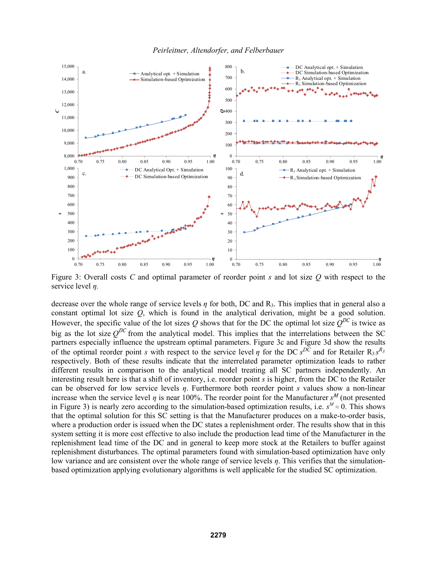*Peirleitner, Altendorfer, and Felberbauer*



Figure 3: Overall costs *C* and optimal parameter of reorder point *s* and lot size *Q* with respect to the service level *η.*

decrease over the whole range of service levels *η* for both, DC and R3. This implies that in general also a constant optimal lot size *Q*, which is found in the analytical derivation, might be a good solution. However, the specific value of the lot sizes *Q* shows that for the DC the optimal lot size  $Q^{DC}$  is twice as big as the lot size  $O^{DC}$  from the analytical model. This implies that the interrelations between the SC partners especially influence the upstream optimal parameters. Figure 3c and Figure 3d show the results of the optimal reorder point *s* with respect to the service level *η* for the DC  $s^{D\tilde{C}}$  and for Retailer R<sub>3</sub>  $s^{R_3}$ respectively. Both of these results indicate that the interrelated parameter optimization leads to rather different results in comparison to the analytical model treating all SC partners independently. An interesting result here is that a shift of inventory, i.e. reorder point *s* is higher, from the DC to the Retailer can be observed for low service levels *η*. Furthermore both reorder point *s* values show a non-linear increase when the service level *η* is near 100%. The reorder point for the Manufacturer  $s^M$  (not presented in Figure 3) is nearly zero according to the simulation-based optimization results, i.e.  $s^M \approx 0$ . This shows that the optimal solution for this SC setting is that the Manufacturer produces on a make-to-order basis, where a production order is issued when the DC states a replenishment order. The results show that in this system setting it is more cost effective to also include the production lead time of the Manufacturer in the replenishment lead time of the DC and in general to keep more stock at the Retailers to buffer against replenishment disturbances. The optimal parameters found with simulation-based optimization have only low variance and are consistent over the whole range of service levels *η*. This verifies that the simulationbased optimization applying evolutionary algorithms is well applicable for the studied SC optimization.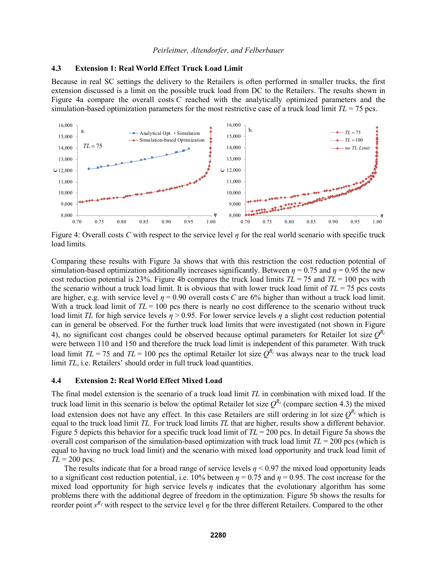## **4.3 Extension 1: Real World Effect Truck Load Limit**

Because in real SC settings the delivery to the Retailers is often performed in smaller trucks, the first extension discussed is a limit on the possible truck load from DC to the Retailers. The results shown in Figure 4a compare the overall costs *C* reached with the analytically optimized parameters and the simulation-based optimization parameters for the most restrictive case of a truck load limit  $TL = 75$  pcs.



Figure 4: Overall costs *C* with respect to the service level *η* for the real world scenario with specific truck load limits.

Comparing these results with Figure 3a shows that with this restriction the cost reduction potential of simulation-based optimization additionally increases significantly. Between  $\eta = 0.75$  and  $\eta = 0.95$  the new cost reduction potential is 23%. Figure 4b compares the truck load limits  $TL = 75$  and  $TL = 100$  pcs with the scenario without a truck load limit. It is obvious that with lower truck load limit of  $TL = 75$  pcs costs are higher, e.g. with service level  $\eta = 0.90$  overall costs *C* are 6% higher than without a truck load limit. With a truck load limit of  $TL = 100$  pcs there is nearly no cost difference to the scenario without truck load limit *TL* for high service levels *η* > 0.95. For lower service levels *η* a slight cost reduction potential can in general be observed. For the further truck load limits that were investigated (not shown in Figure 4), no significant cost changes could be observed because optimal parameters for Retailer lot size  $Q^{R_i}$ were between 110 and 150 and therefore the truck load limit is independent of this parameter. With truck load limit  $TL = 75$  and  $TL = 100$  pcs the optimal Retailer lot size  $O^{R_i}$  was always near to the truck load limit *TL*, i.e. Retailers' should order in full truck load quantities.

## **4.4 Extension 2: Real World Effect Mixed Load**

The final model extension is the scenario of a truck load limit *TL* in combination with mixed load. If the truck load limit in this scenario is below the optimal Retailer lot size  $Q^{R_i}$  (compare section 4.3) the mixed load extension does not have any effect. In this case Retailers are still ordering in lot size  $Q^{R_i}$  which is equal to the truck load limit *TL*. For truck load limits *TL* that are higher, results show a different behavior. Figure 5 depicts this behavior for a specific truck load limit of *TL* = 200 pcs. In detail Figure 5a shows the overall cost comparison of the simulation-based optimization with truck load limit  $TL = 200$  pcs (which is equal to having no truck load limit) and the scenario with mixed load opportunity and truck load limit of  $TL = 200$  pcs.

The results indicate that for a broad range of service levels  $n < 0.97$  the mixed load opportunity leads to a significant cost reduction potential, i.e.  $10\%$  between  $\eta = 0.75$  and  $\eta = 0.95$ . The cost increase for the mixed load opportunity for high service levels  $\eta$  indicates that the evolutionary algorithm has some problems there with the additional degree of freedom in the optimization. Figure 5b shows the results for reorder point *s<sup>R<sub>i</sub>*</sup> with respect to the service level *η* for the three different Retailers. Compared to the other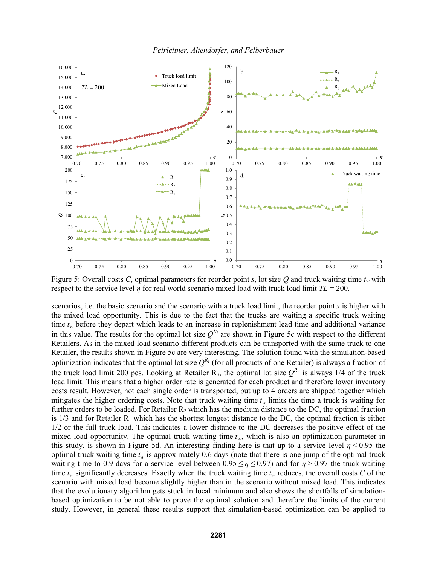*Peirleitner, Altendorfer, and Felberbauer*



Figure 5: Overall costs *C*, optimal parameters for reorder point *s*, lot size *Q* and truck waiting time  $t_w$  with respect to the service level *η* for real world scenario mixed load with truck load limit *TL* = 200.

scenarios, i.e. the basic scenario and the scenario with a truck load limit, the reorder point *s* is higher with the mixed load opportunity. This is due to the fact that the trucks are waiting a specific truck waiting time  $t_w$  before they depart which leads to an increase in replenishment lead time and additional variance in this value. The results for the optimal lot size  $Q^{R_i}$  are shown in Figure 5c with respect to the different Retailers. As in the mixed load scenario different products can be transported with the same truck to one Retailer, the results shown in Figure 5c are very interesting. The solution found with the simulation-based optimization indicates that the optimal lot size  $Q^{R_i}$  (for all products of one Retailer) is always a fraction of the truck load limit 200 pcs. Looking at Retailer R<sub>3</sub>, the optimal lot size  $Q^{R_3}$  is always 1/4 of the truck load limit. This means that a higher order rate is generated for each product and therefore lower inventory costs result. However, not each single order is transported, but up to 4 orders are shipped together which mitigates the higher ordering costs. Note that truck waiting time  $t_w$  limits the time a truck is waiting for further orders to be loaded. For Retailer  $R_2$  which has the medium distance to the DC, the optimal fraction is  $1/3$  and for Retailer R<sub>1</sub> which has the shortest longest distance to the DC, the optimal fraction is either 1/2 or the full truck load. This indicates a lower distance to the DC decreases the positive effect of the mixed load opportunity. The optimal truck waiting time  $t_w$ , which is also an optimization parameter in this study, is shown in Figure 5d. An interesting finding here is that up to a service level  $\eta$  < 0.95 the optimal truck waiting time  $t_w$  is approximately 0.6 days (note that there is one jump of the optimal truck waiting time to 0.9 days for a service level between  $0.95 \le \eta \le 0.97$ ) and for  $\eta > 0.97$  the truck waiting time  $t_w$  significantly decreases. Exactly when the truck waiting time  $t_w$  reduces, the overall costs *C* of the scenario with mixed load become slightly higher than in the scenario without mixed load. This indicates that the evolutionary algorithm gets stuck in local minimum and also shows the shortfalls of simulationbased optimization to be not able to prove the optimal solution and therefore the limits of the current study. However, in general these results support that simulation-based optimization can be applied to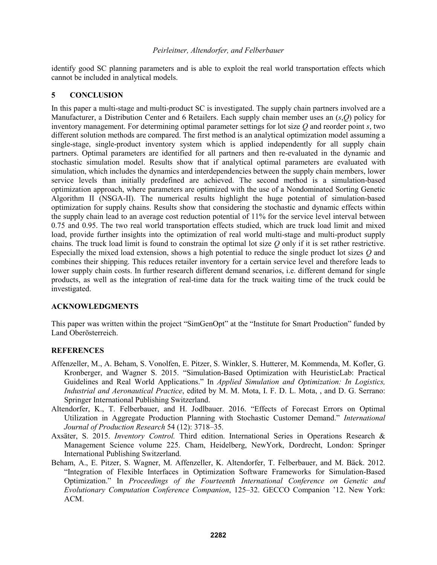identify good SC planning parameters and is able to exploit the real world transportation effects which cannot be included in analytical models.

# **5 CONCLUSION**

In this paper a multi-stage and multi-product SC is investigated. The supply chain partners involved are a Manufacturer, a Distribution Center and 6 Retailers. Each supply chain member uses an (*s*,*Q*) policy for inventory management. For determining optimal parameter settings for lot size *Q* and reorder point *s*, two different solution methods are compared. The first method is an analytical optimization model assuming a single-stage, single-product inventory system which is applied independently for all supply chain partners. Optimal parameters are identified for all partners and then re-evaluated in the dynamic and stochastic simulation model. Results show that if analytical optimal parameters are evaluated with simulation, which includes the dynamics and interdependencies between the supply chain members, lower service levels than initially predefined are achieved. The second method is a simulation-based optimization approach, where parameters are optimized with the use of a Nondominated Sorting Genetic Algorithm II (NSGA-II). The numerical results highlight the huge potential of simulation-based optimization for supply chains. Results show that considering the stochastic and dynamic effects within the supply chain lead to an average cost reduction potential of 11% for the service level interval between 0.75 and 0.95. The two real world transportation effects studied, which are truck load limit and mixed load, provide further insights into the optimization of real world multi-stage and multi-product supply chains. The truck load limit is found to constrain the optimal lot size *Q* only if it is set rather restrictive. Especially the mixed load extension, shows a high potential to reduce the single product lot sizes *Q* and combines their shipping. This reduces retailer inventory for a certain service level and therefore leads to lower supply chain costs. In further research different demand scenarios, i.e. different demand for single products, as well as the integration of real-time data for the truck waiting time of the truck could be investigated.

# **ACKNOWLEDGMENTS**

This paper was written within the project "SimGenOpt" at the "Institute for Smart Production" funded by Land Oberösterreich.

# **REFERENCES**

- Affenzeller, M., A. Beham, S. Vonolfen, E. Pitzer, S. Winkler, S. Hutterer, M. Kommenda, M. Kofler, G. Kronberger, and Wagner S. 2015. "Simulation-Based Optimization with HeuristicLab: Practical Guidelines and Real World Applications." In *Applied Simulation and Optimization: In Logistics, Industrial and Aeronautical Practice*, edited by M. M. Mota, I. F. D. L. Mota, , and D. G. Serrano: Springer International Publishing Switzerland.
- Altendorfer, K., T. Felberbauer, and H. Jodlbauer. 2016. "Effects of Forecast Errors on Optimal Utilization in Aggregate Production Planning with Stochastic Customer Demand." *International Journal of Production Research* 54 (12): 3718–35.
- Axsäter, S. 2015. *Inventory Control.* Third edition. International Series in Operations Research & Management Science volume 225. Cham, Heidelberg, NewYork, Dordrecht, London: Springer International Publishing Switzerland.
- Beham, A., E. Pitzer, S. Wagner, M. Affenzeller, K. Altendorfer, T. Felberbauer, and M. Bäck. 2012. "Integration of Flexible Interfaces in Optimization Software Frameworks for Simulation-Based Optimization." In *Proceedings of the Fourteenth International Conference on Genetic and Evolutionary Computation Conference Companion*, 125–32. GECCO Companion '12. New York: ACM.